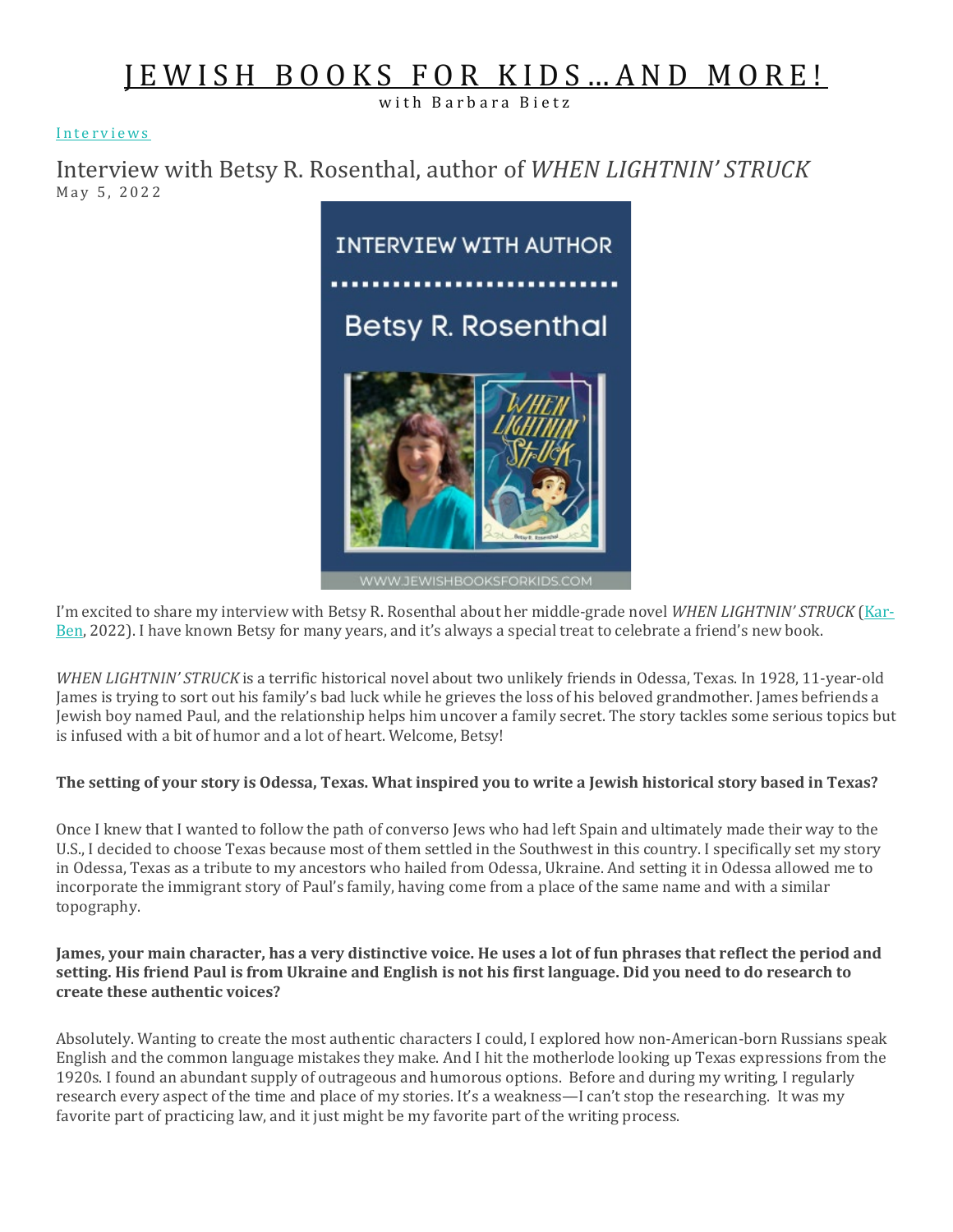# [JEWISH BOOKS FOR KIDS…AND MORE!](https://jewishbooksforkids.com/)

with Barbara Bietz

#### [Interviews](https://jewishbooksforkids.com/category/interviews/)

Interview with Betsy R. Rosenthal, author of *WHEN LIGHTNIN' STRUCK* May 5, 2022



WWW.JEWISHBOOKSFORKIDS.COM

I'm excited to share my interview with Betsy R. Rosenthal about her middle-grade novel *WHEN LIGHTNIN' STRUCK* [\(Kar-](https://www.karben.com/When-Lightnin-Struck_p_1164.html)[Ben,](https://www.karben.com/When-Lightnin-Struck_p_1164.html) 2022). I have known Betsy for many years, and it's always a special treat to celebrate a friend's new book.

*WHEN LIGHTNIN' STRUCK* is a terrific historical novel about two unlikely friends in Odessa, Texas. In 1928, 11-year-old James is trying to sort out his family's bad luck while he grieves the loss of his beloved grandmother. James befriends a Jewish boy named Paul, and the relationship helps him uncover a family secret. The story tackles some serious topics but is infused with a bit of humor and a lot of heart. Welcome, Betsy!

## **The setting of your story is Odessa, Texas. What inspired you to write a Jewish historical story based in Texas?**

Once I knew that I wanted to follow the path of converso Jews who had left Spain and ultimately made their way to the U.S., I decided to choose Texas because most of them settled in the Southwest in this country. I specifically set my story in Odessa, Texas as a tribute to my ancestors who hailed from Odessa, Ukraine. And setting it in Odessa allowed me to incorporate the immigrant story of Paul's family, having come from a place of the same name and with a similar topography.

#### **James, your main character, has a very distinctive voice. He uses a lot of fun phrases that reflect the period and setting. His friend Paul is from Ukraine and English is not his first language. Did you need to do research to create these authentic voices?**

Absolutely. Wanting to create the most authentic characters I could, I explored how non-American-born Russians speak English and the common language mistakes they make. And I hit the motherlode looking up Texas expressions from the 1920s. I found an abundant supply of outrageous and humorous options. Before and during my writing, I regularly research every aspect of the time and place of my stories. It's a weakness—I can't stop the researching. It was my favorite part of practicing law, and it just might be my favorite part of the writing process.